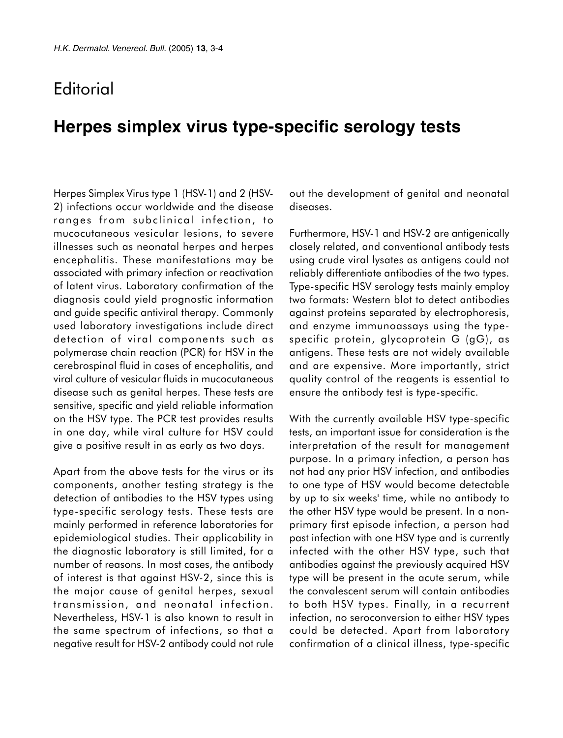## **Editorial**

## **Herpes simplex virus type-specific serology tests**

Herpes Simplex Virus type 1 (HSV-1) and 2 (HSV-2) infections occur worldwide and the disease ranges from subclinical infection, to mucocutaneous vesicular lesions, to severe illnesses such as neonatal herpes and herpes encephalitis. These manifestations may be associated with primary infection or reactivation of latent virus. Laboratory confirmation of the diagnosis could yield prognostic information and guide specific antiviral therapy. Commonly used laboratory investigations include direct detection of viral components such as polymerase chain reaction (PCR) for HSV in the cerebrospinal fluid in cases of encephalitis, and viral culture of vesicular fluids in mucocutaneous disease such as genital herpes. These tests are sensitive, specific and yield reliable information on the HSV type. The PCR test provides results in one day, while viral culture for HSV could give a positive result in as early as two days.

Apart from the above tests for the virus or its components, another testing strategy is the detection of antibodies to the HSV types using type-specific serology tests. These tests are mainly performed in reference laboratories for epidemiological studies. Their applicability in the diagnostic laboratory is still limited, for a number of reasons. In most cases, the antibody of interest is that against HSV-2, since this is the major cause of genital herpes, sexual transmission, and neonatal infection. Nevertheless, HSV-1 is also known to result in the same spectrum of infections, so that a negative result for HSV-2 antibody could not rule out the development of genital and neonatal diseases.

Furthermore, HSV-1 and HSV-2 are antigenically closely related, and conventional antibody tests using crude viral lysates as antigens could not reliably differentiate antibodies of the two types. Type-specific HSV serology tests mainly employ two formats: Western blot to detect antibodies against proteins separated by electrophoresis, and enzyme immunoassays using the typespecific protein, glycoprotein G (gG), as antigens. These tests are not widely available and are expensive. More importantly, strict quality control of the reagents is essential to ensure the antibody test is type-specific.

With the currently available HSV type-specific tests, an important issue for consideration is the interpretation of the result for management purpose. In a primary infection, a person has not had any prior HSV infection, and antibodies to one type of HSV would become detectable by up to six weeks' time, while no antibody to the other HSV type would be present. In a nonprimary first episode infection, a person had past infection with one HSV type and is currently infected with the other HSV type, such that antibodies against the previously acquired HSV type will be present in the acute serum, while the convalescent serum will contain antibodies to both HSV types. Finally, in a recurrent infection, no seroconversion to either HSV types could be detected. Apart from laboratory confirmation of a clinical illness, type-specific